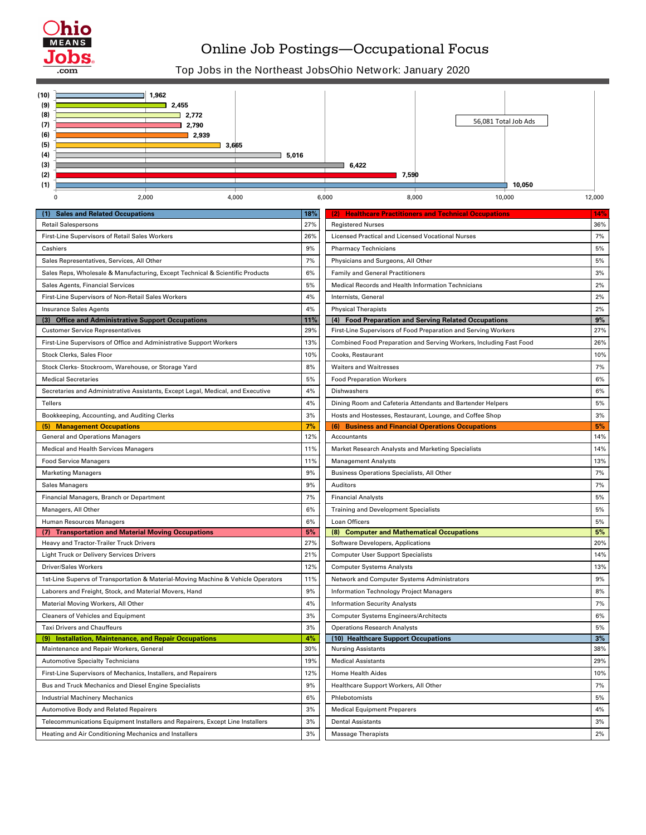| <b>Sales and Related Occupations</b>                                            | 18% | (2) Healthcare Practitioners and Technical Occupations             | 14%   |
|---------------------------------------------------------------------------------|-----|--------------------------------------------------------------------|-------|
| <b>Retail Salespersons</b>                                                      | 27% | <b>Registered Nurses</b>                                           | 36%   |
| First-Line Supervisors of Retail Sales Workers                                  | 26% | <b>Licensed Practical and Licensed Vocational Nurses</b>           | 7%    |
| Cashiers                                                                        | 9%  | <b>Pharmacy Technicians</b>                                        | 5%    |
| Sales Representatives, Services, All Other                                      | 7%  | Physicians and Surgeons, All Other                                 | 5%    |
| Sales Reps, Wholesale & Manufacturing, Except Technical & Scientific Products   | 6%  | <b>Family and General Practitioners</b>                            | 3%    |
| <b>Sales Agents, Financial Services</b>                                         | 5%  | Medical Records and Health Information Technicians                 | 2%    |
| First-Line Supervisors of Non-Retail Sales Workers                              | 4%  | Internists, General                                                | 2%    |
| <b>Insurance Sales Agents</b>                                                   | 4%  | <b>Physical Therapists</b>                                         | 2%    |
| <b>Office and Administrative Support Occupations</b>                            | 11% | <b>Food Preparation and Serving Related Occupations</b><br>(4)     | 9%    |
| <b>Customer Service Representatives</b>                                         | 29% | First-Line Supervisors of Food Preparation and Serving Workers     | 27%   |
| First-Line Supervisors of Office and Administrative Support Workers             | 13% | Combined Food Preparation and Serving Workers, Including Fast Food | 26%   |
| <b>Stock Clerks, Sales Floor</b>                                                | 10% | Cooks, Restaurant                                                  | 10%   |
| Stock Clerks- Stockroom, Warehouse, or Storage Yard                             | 8%  | <b>Waiters and Waitresses</b>                                      | 7%    |
| <b>Medical Secretaries</b>                                                      | 5%  | <b>Food Preparation Workers</b>                                    | $6\%$ |
| Secretaries and Administrative Assistants, Except Legal, Medical, and Executive | 4%  | Dishwashers                                                        | 6%    |
| <b>Tellers</b>                                                                  | 4%  | Dining Room and Cafeteria Attendants and Bartender Helpers         | 5%    |
| Bookkeeping, Accounting, and Auditing Clerks                                    | 3%  | Hosts and Hostesses, Restaurant, Lounge, and Coffee Shop           | 3%    |
| <b>Management Occupations</b>                                                   | 7%  | <b>Business and Financial Operations Occupations</b>               | 5%    |
| <b>General and Operations Managers</b>                                          | 12% | Accountants                                                        | 14%   |
| <b>Medical and Health Services Managers</b>                                     | 11% | <b>Market Research Analysts and Marketing Specialists</b>          | 14%   |
| <b>Food Service Managers</b>                                                    | 11% | <b>Management Analysts</b>                                         | 13%   |
| <b>Marketing Managers</b>                                                       | 9%  | <b>Business Operations Specialists, All Other</b>                  | 7%    |
| <b>Sales Managers</b>                                                           | 9%  | Auditors                                                           | 7%    |
| Financial Managers, Branch or Department                                        | 7%  | <b>Financial Analysts</b>                                          | 5%    |
| Managers, All Other                                                             | 6%  | <b>Training and Development Specialists</b>                        | 5%    |
| Human Resources Managers                                                        | 6%  | Loan Officers                                                      | 5%    |
| <b>Transportation and Material Moving Occupations</b>                           | 5%  | <b>Computer and Mathematical Occupations</b>                       | 5%    |
| Heavy and Tractor-Trailer Truck Drivers                                         | 27% | Software Developers, Applications                                  | 20%   |
|                                                                                 |     |                                                                    |       |

| <b>Light Truck or Delivery Services Drivers</b>                                  | 21% | <b>Computer User Support Specialists</b>       | 14% |
|----------------------------------------------------------------------------------|-----|------------------------------------------------|-----|
| <b>Driver/Sales Workers</b>                                                      | 12% | <b>Computer Systems Analysts</b>               | 13% |
| 1st-Line Supervs of Transportation & Material-Moving Machine & Vehicle Operators | 11% | Network and Computer Systems Administrators    | 9%  |
| Laborers and Freight, Stock, and Material Movers, Hand                           | 9%  | <b>Information Technology Project Managers</b> | 8%  |
| Material Moving Workers, All Other                                               | 4%  | <b>Information Security Analysts</b>           | 7%  |
| <b>Cleaners of Vehicles and Equipment</b>                                        | 3%  | <b>Computer Systems Engineers/Architects</b>   | 6%  |
| <b>Taxi Drivers and Chauffeurs</b>                                               | 3%  | <b>Operations Research Analysts</b>            | 5%  |
| <b>Installation, Maintenance, and Repair Occupations</b><br>(9)                  | 4%  | (10) Healthcare Support Occupations            | 3%  |
| Maintenance and Repair Workers, General                                          | 30% | <b>Nursing Assistants</b>                      | 38% |
| <b>Automotive Specialty Technicians</b>                                          | 19% | <b>Medical Assistants</b>                      | 29% |
| First-Line Supervisors of Mechanics, Installers, and Repairers                   | 12% | <b>Home Health Aides</b>                       | 10% |
| Bus and Truck Mechanics and Diesel Engine Specialists                            | 9%  | Healthcare Support Workers, All Other          | 7%  |
| <b>Industrial Machinery Mechanics</b>                                            | 6%  | Phlebotomists                                  | 5%  |
| <b>Automotive Body and Related Repairers</b>                                     | 3%  | <b>Medical Equipment Preparers</b>             | 4%  |
| Telecommunications Equipment Installers and Repairers, Except Line Installers    | 3%  | <b>Dental Assistants</b>                       | 3%  |
| Heating and Air Conditioning Mechanics and Installers                            | 3%  | <b>Massage Therapists</b>                      | 2%  |



## Online Job Postings―Occupational Focus

## Top Jobs in the Northeast JobsOhio Network: January 2020